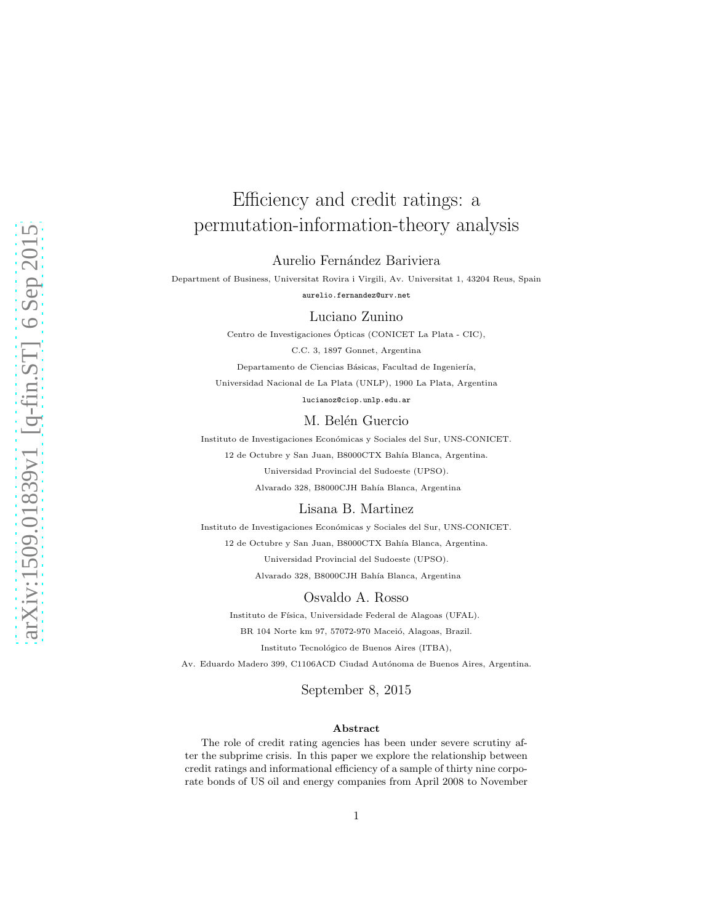# Efficiency and credit ratings: a permutation-information-theory analysis

Aurelio Fernández Bariviera

Department of Business, Universitat Rovira i Virgili, Av. Universitat 1, 43204 Reus, Spain aurelio.fernandez@urv.net

Luciano Zunino

Centro de Investigaciones Ópticas (CONICET La Plata - CIC),

C.C. 3, 1897 Gonnet, Argentina

Departamento de Ciencias Básicas, Facultad de Ingeniería,

Universidad Nacional de La Plata (UNLP), 1900 La Plata, Argentina

lucianoz@ciop.unlp.edu.ar

#### M. Belén Guercio

Instituto de Investigaciones Económicas y Sociales del Sur, UNS-CONICET. 12 de Octubre y San Juan, B8000CTX Bahía Blanca, Argentina. Universidad Provincial del Sudoeste (UPSO).

Alvarado 328, B8000CJH Bahía Blanca, Argentina

#### Lisana B. Martinez

Instituto de Investigaciones Económicas y Sociales del Sur, UNS-CONICET. 12 de Octubre y San Juan, B8000CTX Bahía Blanca, Argentina. Universidad Provincial del Sudoeste (UPSO). Alvarado 328, B8000CJH Bahía Blanca, Argentina

### Osvaldo A. Rosso

Instituto de Física, Universidade Federal de Alagoas (UFAL).

BR 104 Norte km 97, 57072-970 Maceió, Alagoas, Brazil.

Instituto Tecnológico de Buenos Aires (ITBA),

Av. Eduardo Madero 399, C1106ACD Ciudad Autónoma de Buenos Aires, Argentina.

September 8, 2015

#### Abstract

The role of credit rating agencies has been under severe scrutiny after the subprime crisis. In this paper we explore the relationship between credit ratings and informational efficiency of a sample of thirty nine corporate bonds of US oil and energy companies from April 2008 to November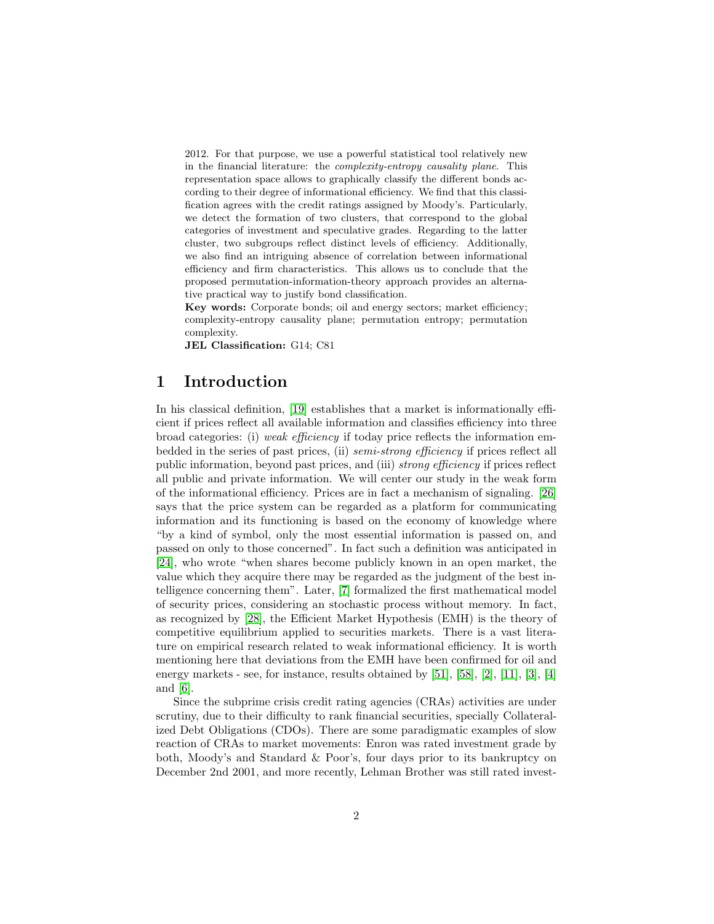2012. For that purpose, we use a powerful statistical tool relatively new in the financial literature: the complexity-entropy causality plane. This representation space allows to graphically classify the different bonds according to their degree of informational efficiency. We find that this classification agrees with the credit ratings assigned by Moody's. Particularly, we detect the formation of two clusters, that correspond to the global categories of investment and speculative grades. Regarding to the latter cluster, two subgroups reflect distinct levels of efficiency. Additionally, we also find an intriguing absence of correlation between informational efficiency and firm characteristics. This allows us to conclude that the proposed permutation-information-theory approach provides an alternative practical way to justify bond classification.

Key words: Corporate bonds; oil and energy sectors; market efficiency; complexity-entropy causality plane; permutation entropy; permutation complexity.

JEL Classification: G14; C81

# 1 Introduction

In his classical definition, [\[19\]](#page-19-0) establishes that a market is informationally efficient if prices reflect all available information and classifies efficiency into three broad categories: (i) weak efficiency if today price reflects the information embedded in the series of past prices, (ii) semi-strong efficiency if prices reflect all public information, beyond past prices, and (iii) strong efficiency if prices reflect all public and private information. We will center our study in the weak form of the informational efficiency. Prices are in fact a mechanism of signaling. [\[26\]](#page-19-1) says that the price system can be regarded as a platform for communicating information and its functioning is based on the economy of knowledge where "by a kind of symbol, only the most essential information is passed on, and passed on only to those concerned". In fact such a definition was anticipated in [\[24\]](#page-19-2), who wrote "when shares become publicly known in an open market, the value which they acquire there may be regarded as the judgment of the best intelligence concerning them". Later, [\[7\]](#page-18-0) formalized the first mathematical model of security prices, considering an stochastic process without memory. In fact, as recognized by [\[28\]](#page-19-3), the Efficient Market Hypothesis (EMH) is the theory of competitive equilibrium applied to securities markets. There is a vast literature on empirical research related to weak informational efficiency. It is worth mentioning here that deviations from the EMH have been confirmed for oil and energy markets - see, for instance, results obtained by [\[51\]](#page-21-0), [\[58\]](#page-22-0), [\[2\]](#page-18-1), [\[11\]](#page-18-2), [\[3\]](#page-18-3), [\[4\]](#page-18-4) and [\[6\]](#page-18-5).

Since the subprime crisis credit rating agencies (CRAs) activities are under scrutiny, due to their difficulty to rank financial securities, specially Collateralized Debt Obligations (CDOs). There are some paradigmatic examples of slow reaction of CRAs to market movements: Enron was rated investment grade by both, Moody's and Standard & Poor's, four days prior to its bankruptcy on December 2nd 2001, and more recently, Lehman Brother was still rated invest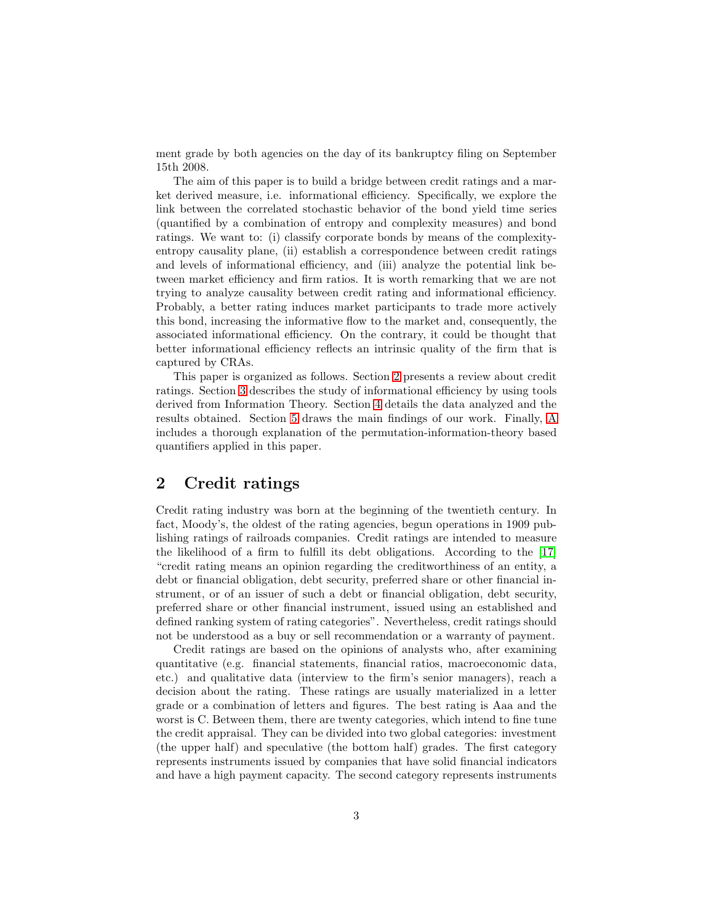ment grade by both agencies on the day of its bankruptcy filing on September 15th 2008.

The aim of this paper is to build a bridge between credit ratings and a market derived measure, i.e. informational efficiency. Specifically, we explore the link between the correlated stochastic behavior of the bond yield time series (quantified by a combination of entropy and complexity measures) and bond ratings. We want to: (i) classify corporate bonds by means of the complexityentropy causality plane, (ii) establish a correspondence between credit ratings and levels of informational efficiency, and (iii) analyze the potential link between market efficiency and firm ratios. It is worth remarking that we are not trying to analyze causality between credit rating and informational efficiency. Probably, a better rating induces market participants to trade more actively this bond, increasing the informative flow to the market and, consequently, the associated informational efficiency. On the contrary, it could be thought that better informational efficiency reflects an intrinsic quality of the firm that is captured by CRAs.

This paper is organized as follows. Section [2](#page-2-0) presents a review about credit ratings. Section [3](#page-4-0) describes the study of informational efficiency by using tools derived from Information Theory. Section [4](#page-5-0) details the data analyzed and the results obtained. Section [5](#page-12-0) draws the main findings of our work. Finally, [A](#page-13-0) includes a thorough explanation of the permutation-information-theory based quantifiers applied in this paper.

# <span id="page-2-0"></span>2 Credit ratings

Credit rating industry was born at the beginning of the twentieth century. In fact, Moody's, the oldest of the rating agencies, begun operations in 1909 publishing ratings of railroads companies. Credit ratings are intended to measure the likelihood of a firm to fulfill its debt obligations. According to the [\[17\]](#page-19-4) "credit rating means an opinion regarding the creditworthiness of an entity, a debt or financial obligation, debt security, preferred share or other financial instrument, or of an issuer of such a debt or financial obligation, debt security, preferred share or other financial instrument, issued using an established and defined ranking system of rating categories". Nevertheless, credit ratings should not be understood as a buy or sell recommendation or a warranty of payment.

Credit ratings are based on the opinions of analysts who, after examining quantitative (e.g. financial statements, financial ratios, macroeconomic data, etc.) and qualitative data (interview to the firm's senior managers), reach a decision about the rating. These ratings are usually materialized in a letter grade or a combination of letters and figures. The best rating is Aaa and the worst is C. Between them, there are twenty categories, which intend to fine tune the credit appraisal. They can be divided into two global categories: investment (the upper half) and speculative (the bottom half) grades. The first category represents instruments issued by companies that have solid financial indicators and have a high payment capacity. The second category represents instruments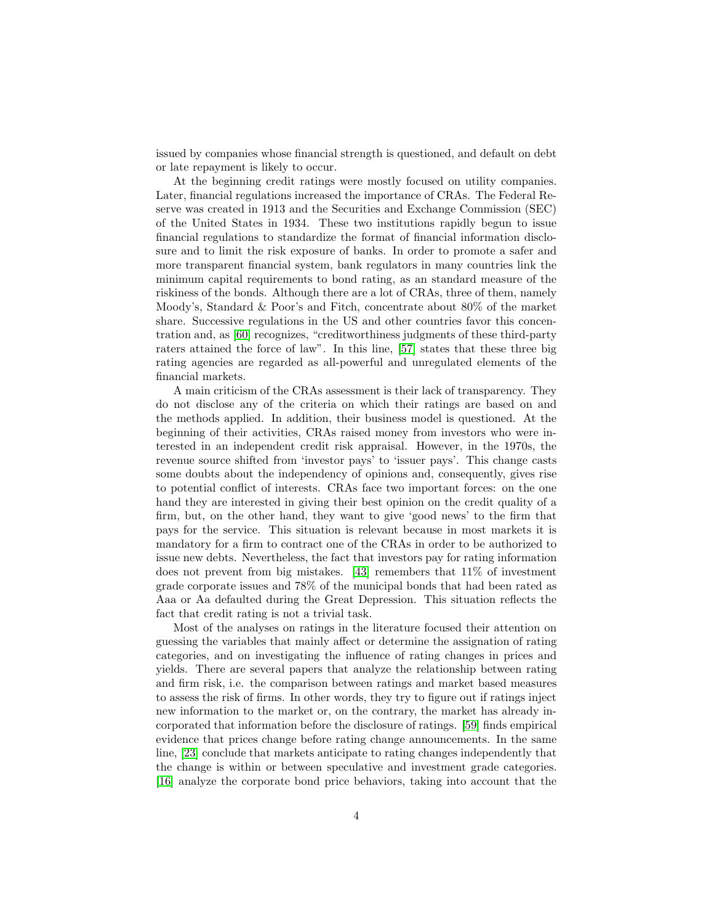issued by companies whose financial strength is questioned, and default on debt or late repayment is likely to occur.

At the beginning credit ratings were mostly focused on utility companies. Later, financial regulations increased the importance of CRAs. The Federal Reserve was created in 1913 and the Securities and Exchange Commission (SEC) of the United States in 1934. These two institutions rapidly begun to issue financial regulations to standardize the format of financial information disclosure and to limit the risk exposure of banks. In order to promote a safer and more transparent financial system, bank regulators in many countries link the minimum capital requirements to bond rating, as an standard measure of the riskiness of the bonds. Although there are a lot of CRAs, three of them, namely Moody's, Standard & Poor's and Fitch, concentrate about 80% of the market share. Successive regulations in the US and other countries favor this concentration and, as [\[60\]](#page-22-1) recognizes, "creditworthiness judgments of these third-party raters attained the force of law". In this line, [\[57\]](#page-22-2) states that these three big rating agencies are regarded as all-powerful and unregulated elements of the financial markets.

A main criticism of the CRAs assessment is their lack of transparency. They do not disclose any of the criteria on which their ratings are based on and the methods applied. In addition, their business model is questioned. At the beginning of their activities, CRAs raised money from investors who were interested in an independent credit risk appraisal. However, in the 1970s, the revenue source shifted from 'investor pays' to 'issuer pays'. This change casts some doubts about the independency of opinions and, consequently, gives rise to potential conflict of interests. CRAs face two important forces: on the one hand they are interested in giving their best opinion on the credit quality of a firm, but, on the other hand, they want to give 'good news' to the firm that pays for the service. This situation is relevant because in most markets it is mandatory for a firm to contract one of the CRAs in order to be authorized to issue new debts. Nevertheless, the fact that investors pay for rating information does not prevent from big mistakes. [\[43\]](#page-21-1) remembers that 11% of investment grade corporate issues and 78% of the municipal bonds that had been rated as Aaa or Aa defaulted during the Great Depression. This situation reflects the fact that credit rating is not a trivial task.

Most of the analyses on ratings in the literature focused their attention on guessing the variables that mainly affect or determine the assignation of rating categories, and on investigating the influence of rating changes in prices and yields. There are several papers that analyze the relationship between rating and firm risk, i.e. the comparison between ratings and market based measures to assess the risk of firms. In other words, they try to figure out if ratings inject new information to the market or, on the contrary, the market has already incorporated that information before the disclosure of ratings. [\[59\]](#page-22-3) finds empirical evidence that prices change before rating change announcements. In the same line, [\[23\]](#page-19-5) conclude that markets anticipate to rating changes independently that the change is within or between speculative and investment grade categories. [\[16\]](#page-19-6) analyze the corporate bond price behaviors, taking into account that the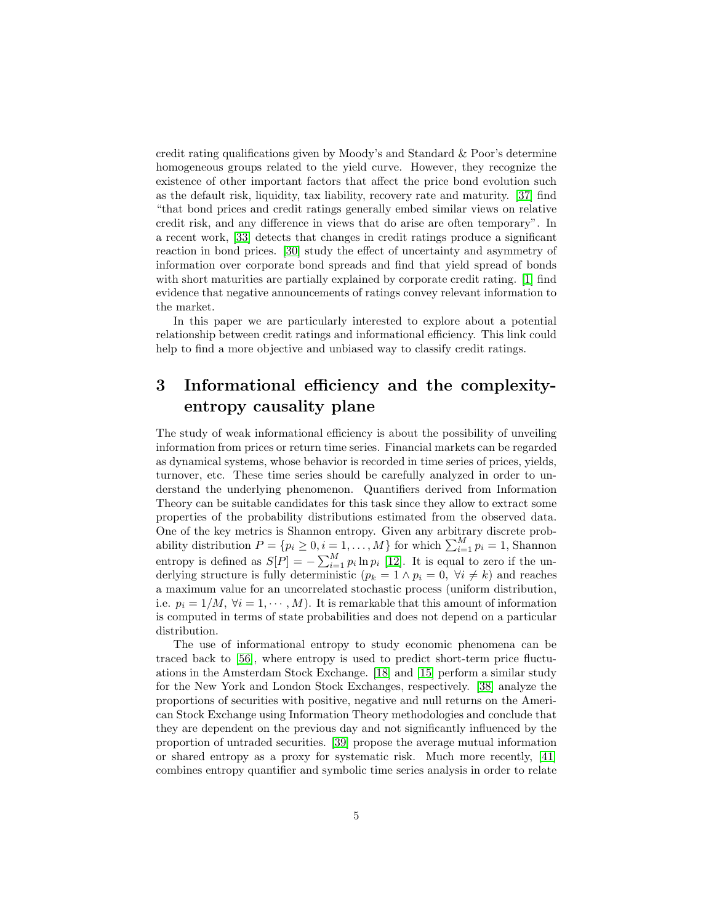credit rating qualifications given by Moody's and Standard & Poor's determine homogeneous groups related to the yield curve. However, they recognize the existence of other important factors that affect the price bond evolution such as the default risk, liquidity, tax liability, recovery rate and maturity. [\[37\]](#page-20-0) find "that bond prices and credit ratings generally embed similar views on relative credit risk, and any difference in views that do arise are often temporary". In a recent work, [\[33\]](#page-20-1) detects that changes in credit ratings produce a significant reaction in bond prices. [\[30\]](#page-20-2) study the effect of uncertainty and asymmetry of information over corporate bond spreads and find that yield spread of bonds with short maturities are partially explained by corporate credit rating. [\[1\]](#page-17-0) find evidence that negative announcements of ratings convey relevant information to the market.

In this paper we are particularly interested to explore about a potential relationship between credit ratings and informational efficiency. This link could help to find a more objective and unbiased way to classify credit ratings.

# <span id="page-4-0"></span>3 Informational efficiency and the complexityentropy causality plane

The study of weak informational efficiency is about the possibility of unveiling information from prices or return time series. Financial markets can be regarded as dynamical systems, whose behavior is recorded in time series of prices, yields, turnover, etc. These time series should be carefully analyzed in order to understand the underlying phenomenon. Quantifiers derived from Information Theory can be suitable candidates for this task since they allow to extract some properties of the probability distributions estimated from the observed data. One of the key metrics is Shannon entropy. Given any arbitrary discrete probability distribution  $P = \{p_i \geq 0, i = 1, ..., M\}$  for which  $\sum_{i=1}^{M} p_i = 1$ , Shannon entropy is defined as  $S[P] = -\sum_{i=1}^{M} p_i \ln p_i$  [\[12\]](#page-18-6). It is equal to zero if the underlying structure is fully deterministic ( $p_k = 1 \wedge p_i = 0$ ,  $\forall i \neq k$ ) and reaches a maximum value for an uncorrelated stochastic process (uniform distribution, i.e.  $p_i = 1/M$ ,  $\forall i = 1, \dots, M$ . It is remarkable that this amount of information is computed in terms of state probabilities and does not depend on a particular distribution.

The use of informational entropy to study economic phenomena can be traced back to [\[56\]](#page-22-4), where entropy is used to predict short-term price fluctuations in the Amsterdam Stock Exchange. [\[18\]](#page-19-7) and [\[15\]](#page-18-7) perform a similar study for the New York and London Stock Exchanges, respectively. [\[38\]](#page-20-3) analyze the proportions of securities with positive, negative and null returns on the American Stock Exchange using Information Theory methodologies and conclude that they are dependent on the previous day and not significantly influenced by the proportion of untraded securities. [\[39\]](#page-20-4) propose the average mutual information or shared entropy as a proxy for systematic risk. Much more recently, [\[41\]](#page-20-5) combines entropy quantifier and symbolic time series analysis in order to relate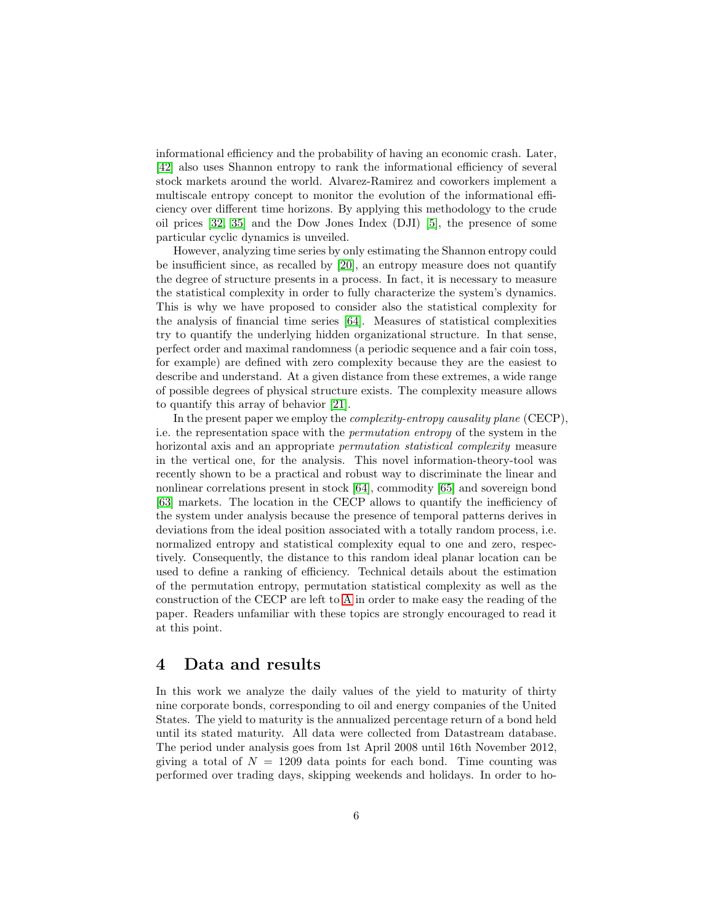informational efficiency and the probability of having an economic crash. Later, [\[42\]](#page-21-2) also uses Shannon entropy to rank the informational efficiency of several stock markets around the world. Alvarez-Ramirez and coworkers implement a multiscale entropy concept to monitor the evolution of the informational efficiency over different time horizons. By applying this methodology to the crude oil prices [\[32,](#page-20-6) [35\]](#page-20-7) and the Dow Jones Index (DJI) [\[5\]](#page-18-8), the presence of some particular cyclic dynamics is unveiled.

However, analyzing time series by only estimating the Shannon entropy could be insufficient since, as recalled by [\[20\]](#page-19-8), an entropy measure does not quantify the degree of structure presents in a process. In fact, it is necessary to measure the statistical complexity in order to fully characterize the system's dynamics. This is why we have proposed to consider also the statistical complexity for the analysis of financial time series [\[64\]](#page-22-5). Measures of statistical complexities try to quantify the underlying hidden organizational structure. In that sense, perfect order and maximal randomness (a periodic sequence and a fair coin toss, for example) are defined with zero complexity because they are the easiest to describe and understand. At a given distance from these extremes, a wide range of possible degrees of physical structure exists. The complexity measure allows to quantify this array of behavior [\[21\]](#page-19-9).

In the present paper we employ the *complexity-entropy causality plane* (CECP), i.e. the representation space with the permutation entropy of the system in the horizontal axis and an appropriate *permutation statistical complexity* measure in the vertical one, for the analysis. This novel information-theory-tool was recently shown to be a practical and robust way to discriminate the linear and nonlinear correlations present in stock [\[64\]](#page-22-5), commodity [\[65\]](#page-22-6) and sovereign bond [\[63\]](#page-22-7) markets. The location in the CECP allows to quantify the inefficiency of the system under analysis because the presence of temporal patterns derives in deviations from the ideal position associated with a totally random process, i.e. normalized entropy and statistical complexity equal to one and zero, respectively. Consequently, the distance to this random ideal planar location can be used to define a ranking of efficiency. Technical details about the estimation of the permutation entropy, permutation statistical complexity as well as the construction of the CECP are left to [A](#page-13-0) in order to make easy the reading of the paper. Readers unfamiliar with these topics are strongly encouraged to read it at this point.

### <span id="page-5-0"></span>4 Data and results

In this work we analyze the daily values of the yield to maturity of thirty nine corporate bonds, corresponding to oil and energy companies of the United States. The yield to maturity is the annualized percentage return of a bond held until its stated maturity. All data were collected from Datastream database. The period under analysis goes from 1st April 2008 until 16th November 2012, giving a total of  $N = 1209$  data points for each bond. Time counting was performed over trading days, skipping weekends and holidays. In order to ho-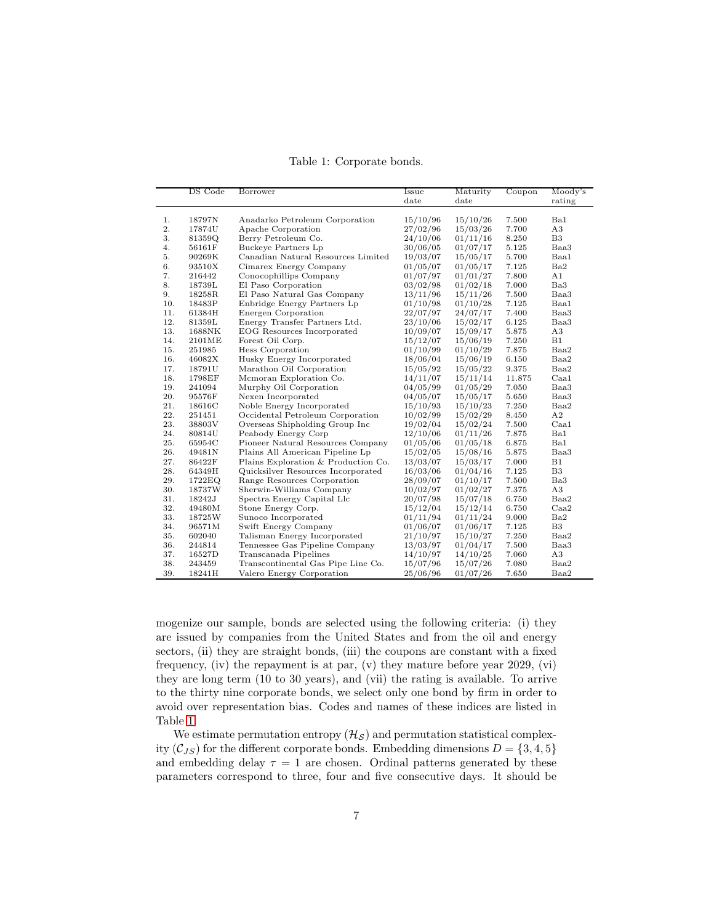<span id="page-6-0"></span>Table 1: Corporate bonds.

|     | DS Code | Borrower                            | Issue    | Maturity | Coupon | Moody's        |
|-----|---------|-------------------------------------|----------|----------|--------|----------------|
|     |         |                                     | date     | date     |        | rating         |
|     |         |                                     |          |          |        |                |
| 1.  | 18797N  | Anadarko Petroleum Corporation      | 15/10/96 | 15/10/26 | 7.500  | Ba1            |
| 2.  | 17874U  | Apache Corporation                  | 27/02/96 | 15/03/26 | 7.700  | A3             |
| 3.  | 81359Q  | Berry Petroleum Co.                 | 24/10/06 | 01/11/16 | 8.250  | B <sub>3</sub> |
| 4.  | 56161F  | Buckeye Partners Lp                 | 30/06/05 | 01/07/17 | 5.125  | Baa3           |
| 5.  | 90269K  | Canadian Natural Resources Limited  | 19/03/07 | 15/05/17 | 5.700  | Baa1           |
| 6.  | 93510X  | Cimarex Energy Company              | 01/05/07 | 01/05/17 | 7.125  | Ba2            |
| 7.  | 216442  | Conocophillips Company              | 01/07/97 | 01/01/27 | 7.800  | A1             |
| 8.  | 18739L  | El Paso Corporation                 | 03/02/98 | 01/02/18 | 7.000  | Ba3            |
| 9.  | 18258R  | El Paso Natural Gas Company         | 13/11/96 | 15/11/26 | 7.500  | Baa3           |
| 10. | 18483P  | Enbridge Energy Partners Lp         | 01/10/98 | 01/10/28 | 7.125  | Baa1           |
| 11. | 61384H  | Energen Corporation                 | 22/07/97 | 24/07/17 | 7.400  | Baa3           |
| 12. | 81359L  | Energy Transfer Partners Ltd.       | 23/10/06 | 15/02/17 | 6.125  | Baa3           |
| 13. | 1688NK  | EOG Resources Incorporated          | 10/09/07 | 15/09/17 | 5.875  | A3             |
| 14. | 2101ME  | Forest Oil Corp.                    | 15/12/07 | 15/06/19 | 7.250  | B1             |
| 15. | 251985  | Hess Corporation                    | 01/10/99 | 01/10/29 | 7.875  | Baa2           |
| 16. | 46082X  | Husky Energy Incorporated           | 18/06/04 | 15/06/19 | 6.150  | Baa2           |
| 17. | 18791U  | Marathon Oil Corporation            | 15/05/92 | 15/05/22 | 9.375  | Baa2           |
| 18. | 1798EF  | Mcmoran Exploration Co.             | 14/11/07 | 15/11/14 | 11.875 | Caa1           |
| 19. | 241094  | Murphy Oil Corporation              | 04/05/99 | 01/05/29 | 7.050  | Baa3           |
| 20. | 95576F  | Nexen Incorporated                  | 04/05/07 | 15/05/17 | 5.650  | Baa3           |
| 21. | 18616C  | Noble Energy Incorporated           | 15/10/93 | 15/10/23 | 7.250  | Baa2           |
| 22. | 251451  | Occidental Petroleum Corporation    | 10/02/99 | 15/02/29 | 8.450  | A2             |
| 23. | 38803V  | Overseas Shipholding Group Inc      | 19/02/04 | 15/02/24 | 7.500  | Caa1           |
| 24. | 80814U  | Peabody Energy Corp                 | 12/10/06 | 01/11/26 | 7.875  | Ba1            |
| 25. | 65954C  | Pioneer Natural Resources Company   | 01/05/06 | 01/05/18 | 6.875  | Ba1            |
| 26. | 49481N  | Plains All American Pipeline Lp     | 15/02/05 | 15/08/16 | 5.875  | Baa3           |
| 27. | 86422F  | Plains Exploration & Production Co. | 13/03/07 | 15/03/17 | 7.000  | B1             |
| 28. | 64349H  | Quicksilver Resources Incorporated  | 16/03/06 | 01/04/16 | 7.125  | B3             |
| 29. | 1722EQ  | Range Resources Corporation         | 28/09/07 | 01/10/17 | 7.500  | Ba3            |
| 30. | 18737W  | Sherwin-Williams Company            | 10/02/97 | 01/02/27 | 7.375  | A3             |
| 31. | 18242J  | Spectra Energy Capital Llc          | 20/07/98 | 15/07/18 | 6.750  | Baa2           |
| 32. | 49480M  | Stone Energy Corp.                  | 15/12/04 | 15/12/14 | 6.750  | Caa2           |
| 33. | 18725W  | Sunoco Incorporated                 | 01/11/94 | 01/11/24 | 9.000  | Ba2            |
| 34. | 96571M  | Swift Energy Company                | 01/06/07 | 01/06/17 | 7.125  | B3             |
| 35. | 602040  | Talisman Energy Incorporated        | 21/10/97 | 15/10/27 | 7.250  | Baa2           |
| 36. | 244814  | Tennessee Gas Pipeline Company      | 13/03/97 | 01/04/17 | 7.500  | Baa3           |
| 37. | 16527D  | Transcanada Pipelines               | 14/10/97 | 14/10/25 | 7.060  | A3             |
| 38. | 243459  | Transcontinental Gas Pipe Line Co.  | 15/07/96 | 15/07/26 | 7.080  | Baa2           |
| 39. | 18241H  | Valero Energy Corporation           | 25/06/96 | 01/07/26 | 7.650  | Baa2           |

mogenize our sample, bonds are selected using the following criteria: (i) they are issued by companies from the United States and from the oil and energy sectors, (ii) they are straight bonds, (iii) the coupons are constant with a fixed frequency, (iv) the repayment is at par, (v) they mature before year 2029, (vi) they are long term (10 to 30 years), and (vii) the rating is available. To arrive to the thirty nine corporate bonds, we select only one bond by firm in order to avoid over representation bias. Codes and names of these indices are listed in Table [1.](#page-6-0)

We estimate permutation entropy  $(\mathcal{H}_{\mathcal{S}})$  and permutation statistical complexity ( $C_{JS}$ ) for the different corporate bonds. Embedding dimensions  $D = \{3, 4, 5\}$ and embedding delay  $\tau = 1$  are chosen. Ordinal patterns generated by these parameters correspond to three, four and five consecutive days. It should be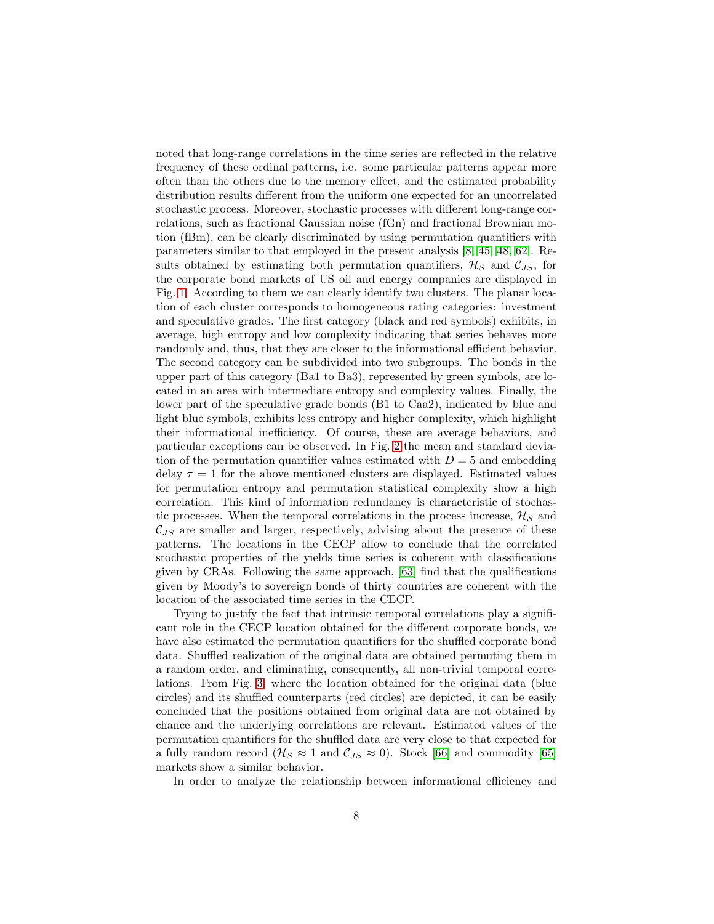noted that long-range correlations in the time series are reflected in the relative frequency of these ordinal patterns, i.e. some particular patterns appear more often than the others due to the memory effect, and the estimated probability distribution results different from the uniform one expected for an uncorrelated stochastic process. Moreover, stochastic processes with different long-range correlations, such as fractional Gaussian noise (fGn) and fractional Brownian motion (fBm), can be clearly discriminated by using permutation quantifiers with parameters similar to that employed in the present analysis [\[8,](#page-18-9) [45,](#page-21-3) [48,](#page-21-4) [62\]](#page-22-8). Results obtained by estimating both permutation quantifiers,  $\mathcal{H}_{\mathcal{S}}$  and  $\mathcal{C}_{JS}$ , for the corporate bond markets of US oil and energy companies are displayed in Fig. [1.](#page-8-0) According to them we can clearly identify two clusters. The planar location of each cluster corresponds to homogeneous rating categories: investment and speculative grades. The first category (black and red symbols) exhibits, in average, high entropy and low complexity indicating that series behaves more randomly and, thus, that they are closer to the informational efficient behavior. The second category can be subdivided into two subgroups. The bonds in the upper part of this category (Ba1 to Ba3), represented by green symbols, are located in an area with intermediate entropy and complexity values. Finally, the lower part of the speculative grade bonds (B1 to Caa2), indicated by blue and light blue symbols, exhibits less entropy and higher complexity, which highlight their informational inefficiency. Of course, these are average behaviors, and particular exceptions can be observed. In Fig. [2](#page-9-0) the mean and standard deviation of the permutation quantifier values estimated with  $D = 5$  and embedding delay  $\tau = 1$  for the above mentioned clusters are displayed. Estimated values for permutation entropy and permutation statistical complexity show a high correlation. This kind of information redundancy is characteristic of stochastic processes. When the temporal correlations in the process increase,  $\mathcal{H}_{\mathcal{S}}$  and  $\mathcal{C}_{JS}$  are smaller and larger, respectively, advising about the presence of these patterns. The locations in the CECP allow to conclude that the correlated stochastic properties of the yields time series is coherent with classifications given by CRAs. Following the same approach, [\[63\]](#page-22-7) find that the qualifications given by Moody's to sovereign bonds of thirty countries are coherent with the location of the associated time series in the CECP.

Trying to justify the fact that intrinsic temporal correlations play a significant role in the CECP location obtained for the different corporate bonds, we have also estimated the permutation quantifiers for the shuffled corporate bond data. Shuffled realization of the original data are obtained permuting them in a random order, and eliminating, consequently, all non-trivial temporal correlations. From Fig. [3,](#page-10-0) where the location obtained for the original data (blue circles) and its shuffled counterparts (red circles) are depicted, it can be easily concluded that the positions obtained from original data are not obtained by chance and the underlying correlations are relevant. Estimated values of the permutation quantifiers for the shuffled data are very close to that expected for a fully random record ( $\mathcal{H}_{\mathcal{S}} \approx 1$  and  $\mathcal{C}_{JS} \approx 0$ ). Stock [\[66\]](#page-22-9) and commodity [\[65\]](#page-22-6) markets show a similar behavior.

In order to analyze the relationship between informational efficiency and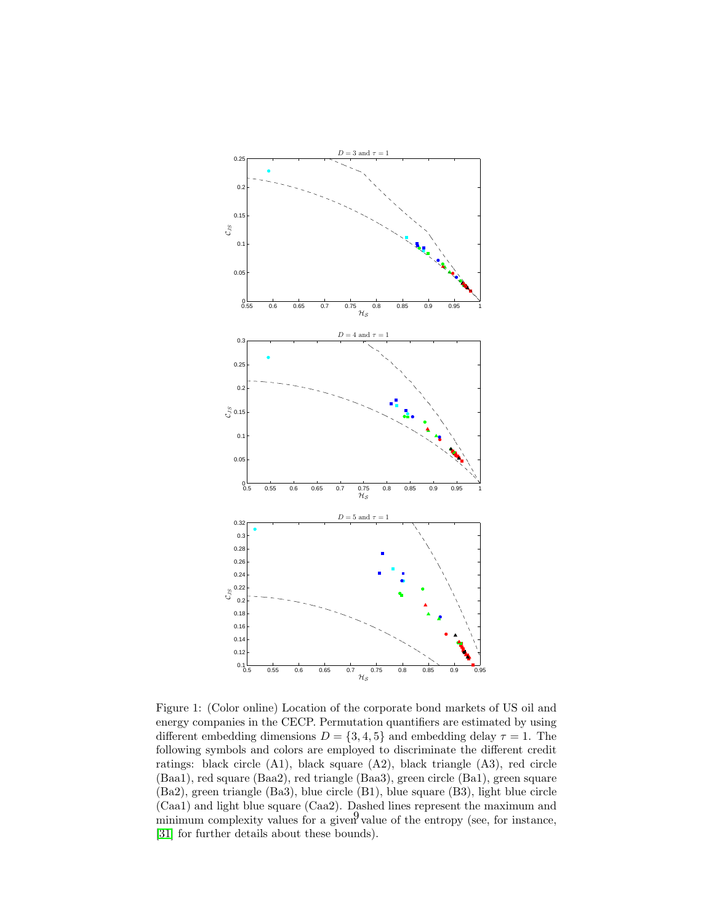

<span id="page-8-0"></span>Figure 1: (Color online) Location of the corporate bond markets of US oil and energy companies in the CECP. Permutation quantifiers are estimated by using different embedding dimensions  $D = \{3, 4, 5\}$  and embedding delay  $\tau = 1$ . The following symbols and colors are employed to discriminate the different credit ratings: black circle (A1), black square (A2), black triangle (A3), red circle (Baa1), red square (Baa2), red triangle (Baa3), green circle (Ba1), green square (Ba2), green triangle (Ba3), blue circle (B1), blue square (B3), light blue circle (Caa1) and light blue square (Caa2). Dashed lines represent the maximum and minimum complexity values for a given value of the entropy (see, for instance, [\[31\]](#page-20-8) for further details about these bounds).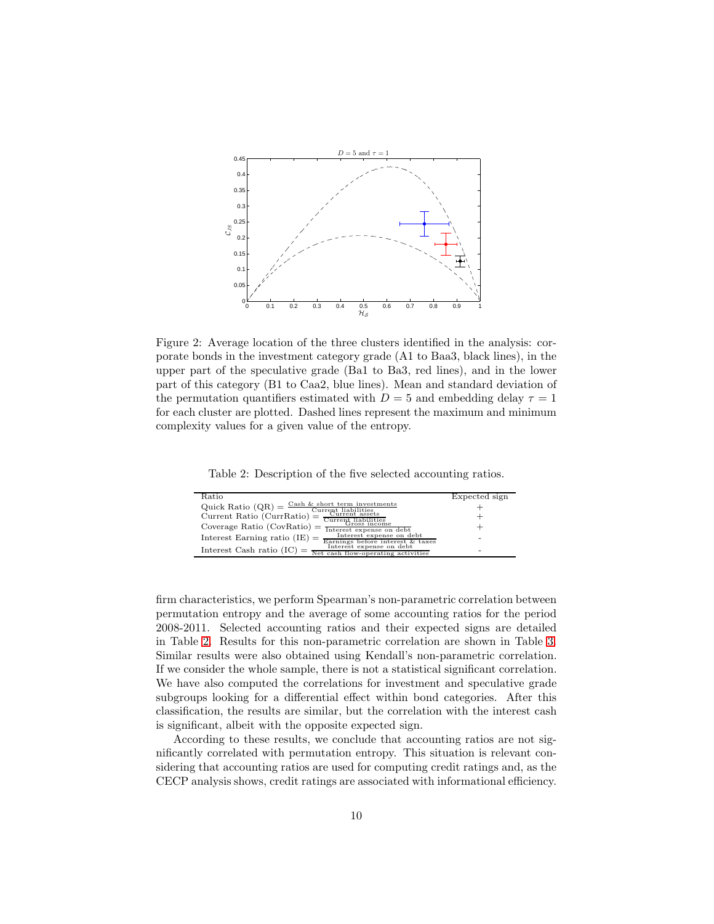

<span id="page-9-0"></span>Figure 2: Average location of the three clusters identified in the analysis: corporate bonds in the investment category grade (A1 to Baa3, black lines), in the upper part of the speculative grade (Ba1 to Ba3, red lines), and in the lower part of this category (B1 to Caa2, blue lines). Mean and standard deviation of the permutation quantifiers estimated with  $D=5$  and embedding delay  $\tau=1$ for each cluster are plotted. Dashed lines represent the maximum and minimum complexity values for a given value of the entropy.

<span id="page-9-1"></span>Table 2: Description of the five selected accounting ratios.

| Ratio                                                                                                                  | Expected sign |
|------------------------------------------------------------------------------------------------------------------------|---------------|
| Quick Ratio (QR) = $\frac{\text{Cash } k \text{ short term investments}}{\text{A}}$                                    |               |
| $Currept$ liabilities<br>$Current$ assets<br>$\alpha$ Current Ratio (CurrRatio) = $\frac{Curreu}{Curreu}$ displicities |               |
| Coverage Ratio $(CovRatio) =$<br>Interest expense on debt                                                              |               |
| Interest expense on debt<br>Interest Earning ratio $(IE)$ =<br>Earnings before interest & taxes                        | ۰             |
| Interest expense on debt<br>Interest Cash ratio (IC)<br>Net cash flow-operating activities                             | -             |

firm characteristics, we perform Spearman's non-parametric correlation between permutation entropy and the average of some accounting ratios for the period 2008-2011. Selected accounting ratios and their expected signs are detailed in Table [2.](#page-9-1) Results for this non-parametric correlation are shown in Table [3.](#page-11-0) Similar results were also obtained using Kendall's non-parametric correlation. If we consider the whole sample, there is not a statistical significant correlation. We have also computed the correlations for investment and speculative grade subgroups looking for a differential effect within bond categories. After this classification, the results are similar, but the correlation with the interest cash is significant, albeit with the opposite expected sign.

According to these results, we conclude that accounting ratios are not significantly correlated with permutation entropy. This situation is relevant considering that accounting ratios are used for computing credit ratings and, as the CECP analysis shows, credit ratings are associated with informational efficiency.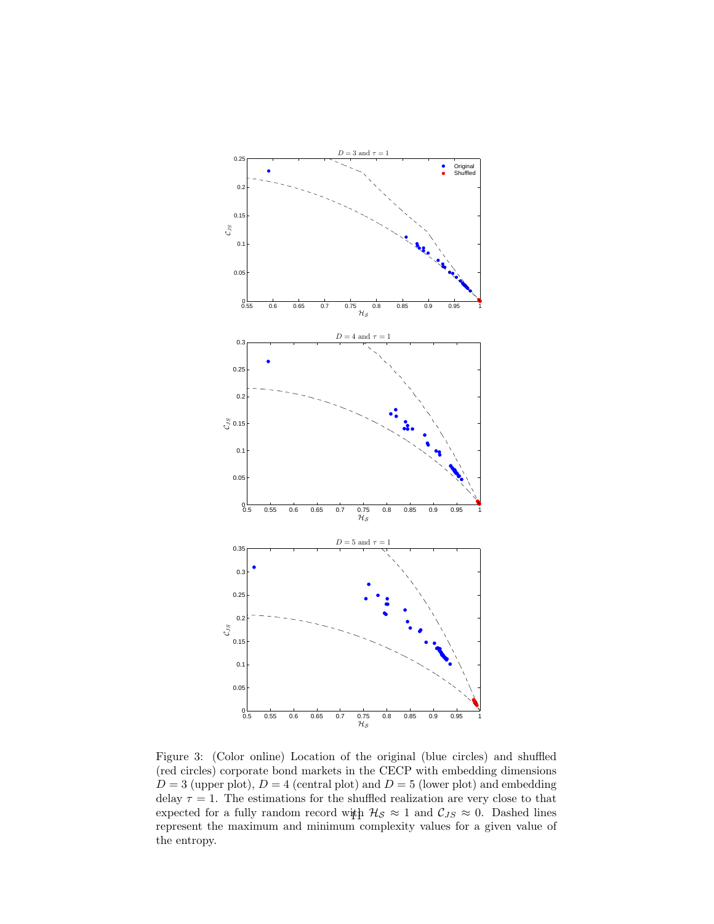

<span id="page-10-0"></span>Figure 3: (Color online) Location of the original (blue circles) and shuffled (red circles) corporate bond markets in the CECP with embedding dimensions  $D = 3$  (upper plot),  $D = 4$  (central plot) and  $D = 5$  (lower plot) and embedding delay  $\tau = 1$ . The estimations for the shuffled realization are very close to that expected for a fully random record with  $\mathcal{H}_{\mathcal{S}} \approx 1$  and  $\mathcal{C}_{JS} \approx 0$ . Dashed lines represent the maximum and minimum complexity values for a given value of the entropy.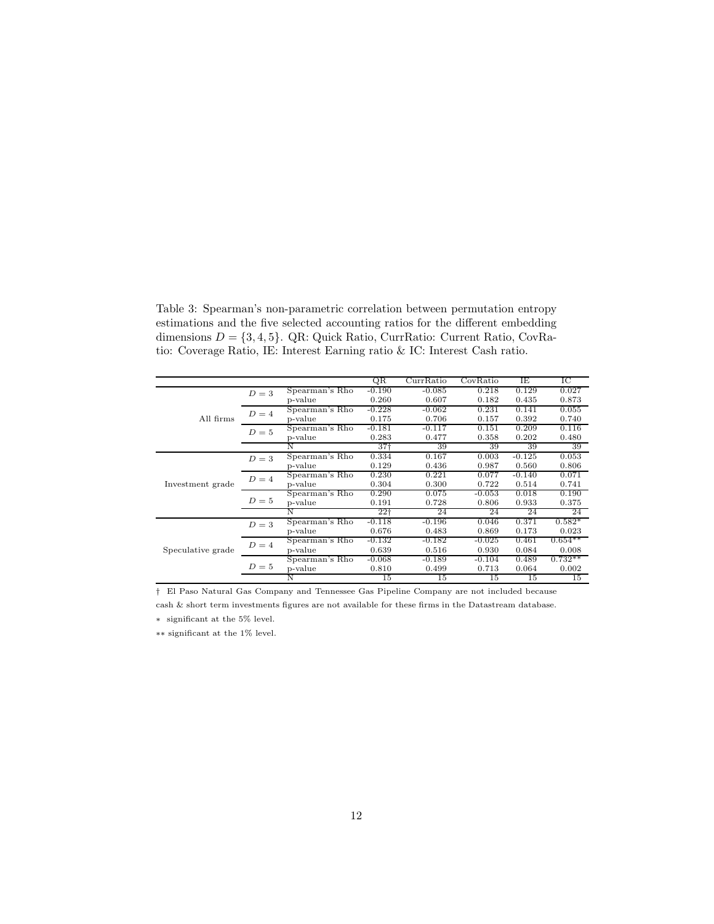<span id="page-11-0"></span>Table 3: Spearman's non-parametric correlation between permutation entropy estimations and the five selected accounting ratios for the different embedding dimensions  $D = \{3, 4, 5\}$ . QR: Quick Ratio, CurrRatio: Current Ratio, CovRatio: Coverage Ratio, IE: Interest Earning ratio & IC: Interest Cash ratio.

|                   |       |                                    | QR              | CurrRatio | CovRatio | ΙE       | IС        |
|-------------------|-------|------------------------------------|-----------------|-----------|----------|----------|-----------|
|                   | $D=3$ | Spearman's Rho                     | $-0.190$        | $-0.085$  | 0.218    | 0.129    | 0.027     |
|                   |       | p-value                            | 0.260           | 0.607     | 0.182    | 0.435    | 0.873     |
|                   | $D=4$ | Spearman's Rho                     | $-0.228$        | $-0.062$  | 0.231    | 0.141    | 0.055     |
| All firms         |       | p-value                            | 0.175           | 0.706     | 0.157    | 0.392    | 0.740     |
|                   | $D=5$ | Spearman's Rho                     | $-0.181$        | $-0.117$  | 0.151    | 0.209    | 0.116     |
|                   |       | p-value                            | 0.283           | 0.477     | 0.358    | 0.202    | 0.480     |
|                   |       | N                                  | $37+$           | 39        | 39       | 39       | 39        |
|                   | $D=3$ | Spearman's Rho                     | 0.334           | 0.167     | 0.003    | $-0.125$ | 0.053     |
|                   |       | p-value                            | 0.129           | 0.436     | 0.987    | 0.560    | 0.806     |
|                   | $D=4$ | Spearman's Rho                     | 0.230           | 0.221     | 0.077    | $-0.140$ | 0.071     |
| Investment grade  |       | p-value                            | 0.304           | 0.300     | 0.722    | 0.514    | 0.741     |
|                   | $D=5$ | Spearman's Rho                     | 0.290           | 0.075     | $-0.053$ | 0.018    | 0.190     |
|                   |       | p-value                            | 0.191           | 0.728     | 0.806    | 0.933    | 0.375     |
|                   |       | N                                  | 22 <sub>1</sub> | 24        | 24       | 24       | 24        |
|                   | $D=3$ | Spearman's Rho                     | $-0.118$        | $-0.196$  | 0.046    | 0.371    | $0.582*$  |
|                   |       | p-value                            | 0.676           | 0.483     | 0.869    | 0.173    | 0.023     |
|                   | $D=4$ | Spearman's $\overline{\text{Rho}}$ | $-0.132$        | $-0.182$  | $-0.025$ | 0.461    | $0.654**$ |
| Speculative grade |       | p-value                            | 0.639           | 0.516     | 0.930    | 0.084    | 0.008     |
|                   | $D=5$ | Spearman's Rho                     | $-0.068$        | $-0.189$  | $-0.104$ | 0.489    | $0.732**$ |
|                   |       | p-value                            | 0.810           | 0.499     | 0.713    | 0.064    | 0.002     |
|                   |       | N                                  | 15              | 15        | 15       | 15       | 15        |

† El Paso Natural Gas Company and Tennessee Gas Pipeline Company are not included because

cash & short term investments figures are not available for these firms in the Datastream database.

∗ significant at the 5% level.

∗∗ significant at the 1% level.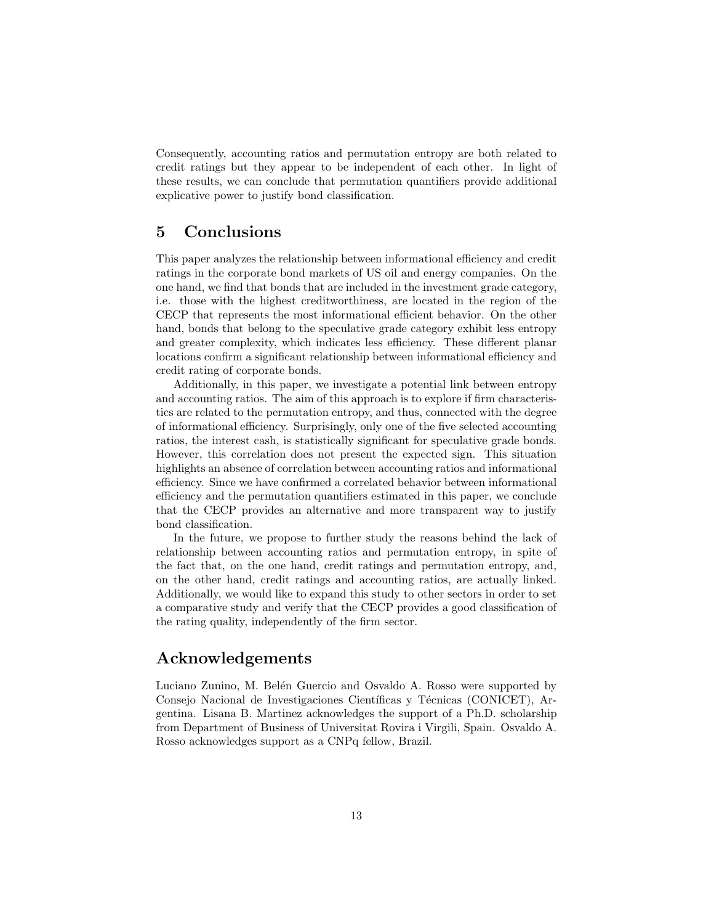Consequently, accounting ratios and permutation entropy are both related to credit ratings but they appear to be independent of each other. In light of these results, we can conclude that permutation quantifiers provide additional explicative power to justify bond classification.

# <span id="page-12-0"></span>5 Conclusions

This paper analyzes the relationship between informational efficiency and credit ratings in the corporate bond markets of US oil and energy companies. On the one hand, we find that bonds that are included in the investment grade category, i.e. those with the highest creditworthiness, are located in the region of the CECP that represents the most informational efficient behavior. On the other hand, bonds that belong to the speculative grade category exhibit less entropy and greater complexity, which indicates less efficiency. These different planar locations confirm a significant relationship between informational efficiency and credit rating of corporate bonds.

Additionally, in this paper, we investigate a potential link between entropy and accounting ratios. The aim of this approach is to explore if firm characteristics are related to the permutation entropy, and thus, connected with the degree of informational efficiency. Surprisingly, only one of the five selected accounting ratios, the interest cash, is statistically significant for speculative grade bonds. However, this correlation does not present the expected sign. This situation highlights an absence of correlation between accounting ratios and informational efficiency. Since we have confirmed a correlated behavior between informational efficiency and the permutation quantifiers estimated in this paper, we conclude that the CECP provides an alternative and more transparent way to justify bond classification.

In the future, we propose to further study the reasons behind the lack of relationship between accounting ratios and permutation entropy, in spite of the fact that, on the one hand, credit ratings and permutation entropy, and, on the other hand, credit ratings and accounting ratios, are actually linked. Additionally, we would like to expand this study to other sectors in order to set a comparative study and verify that the CECP provides a good classification of the rating quality, independently of the firm sector.

## Acknowledgements

Luciano Zunino, M. Belén Guercio and Osvaldo A. Rosso were supported by Consejo Nacional de Investigaciones Científicas y Técnicas (CONICET), Argentina. Lisana B. Martinez acknowledges the support of a Ph.D. scholarship from Department of Business of Universitat Rovira i Virgili, Spain. Osvaldo A. Rosso acknowledges support as a CNPq fellow, Brazil.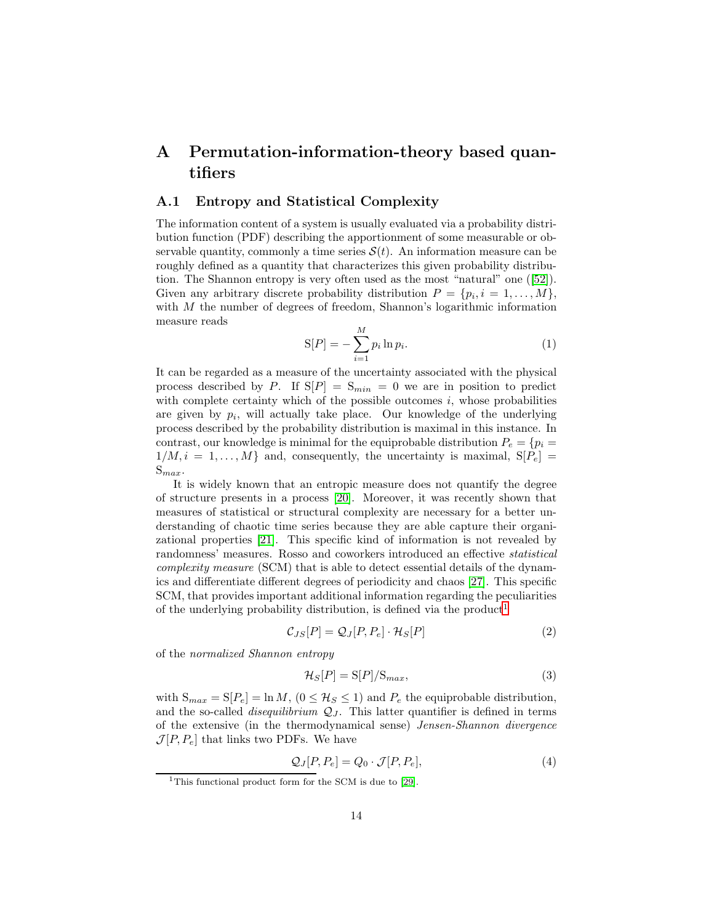# <span id="page-13-0"></span>A Permutation-information-theory based quantifiers

### A.1 Entropy and Statistical Complexity

The information content of a system is usually evaluated via a probability distribution function (PDF) describing the apportionment of some measurable or observable quantity, commonly a time series  $S(t)$ . An information measure can be roughly defined as a quantity that characterizes this given probability distribution. The Shannon entropy is very often used as the most "natural" one ([\[52\]](#page-21-5)). Given any arbitrary discrete probability distribution  $P = \{p_i, i = 1, \ldots, M\},\$ with M the number of degrees of freedom, Shannon's logarithmic information measure reads

$$
S[P] = -\sum_{i=1}^{M} p_i \ln p_i.
$$
 (1)

It can be regarded as a measure of the uncertainty associated with the physical process described by P. If  $S[P] = S_{min} = 0$  we are in position to predict with complete certainty which of the possible outcomes  $i$ , whose probabilities are given by  $p_i$ , will actually take place. Our knowledge of the underlying process described by the probability distribution is maximal in this instance. In contrast, our knowledge is minimal for the equiprobable distribution  $P_e = \{p_i =$  $1/M, i = 1, \ldots, M$  and, consequently, the uncertainty is maximal,  $S[P_e] =$  $S_{max}$ .

It is widely known that an entropic measure does not quantify the degree of structure presents in a process [\[20\]](#page-19-8). Moreover, it was recently shown that measures of statistical or structural complexity are necessary for a better understanding of chaotic time series because they are able capture their organizational properties [\[21\]](#page-19-9). This specific kind of information is not revealed by randomness' measures. Rosso and coworkers introduced an effective statistical complexity measure (SCM) that is able to detect essential details of the dynamics and differentiate different degrees of periodicity and chaos [\[27\]](#page-19-10). This specific SCM, that provides important additional information regarding the peculiarities of the underlying probability distribution, is defined via the product<sup>[1](#page-13-1)</sup>

<span id="page-13-3"></span>
$$
\mathcal{C}_{JS}[P] = \mathcal{Q}_J[P, P_e] \cdot \mathcal{H}_S[P] \tag{2}
$$

of the normalized Shannon entropy

<span id="page-13-2"></span>
$$
\mathcal{H}_S[P] = \mathcal{S}[P]/\mathcal{S}_{max},\tag{3}
$$

with  $S_{max} = S[P_e] = \ln M$ ,  $(0 \leq H_s \leq 1)$  and  $P_e$  the equiprobable distribution, and the so-called *disequilibrium*  $Q_J$ . This latter quantifier is defined in terms of the extensive (in the thermodynamical sense) Jensen-Shannon divergence  $\mathcal{J}[P, P_e]$  that links two PDFs. We have

$$
Q_J[P, P_e] = Q_0 \cdot \mathcal{J}[P, P_e],\tag{4}
$$

<span id="page-13-1"></span><sup>&</sup>lt;sup>1</sup>This functional product form for the SCM is due to [\[29\]](#page-20-9).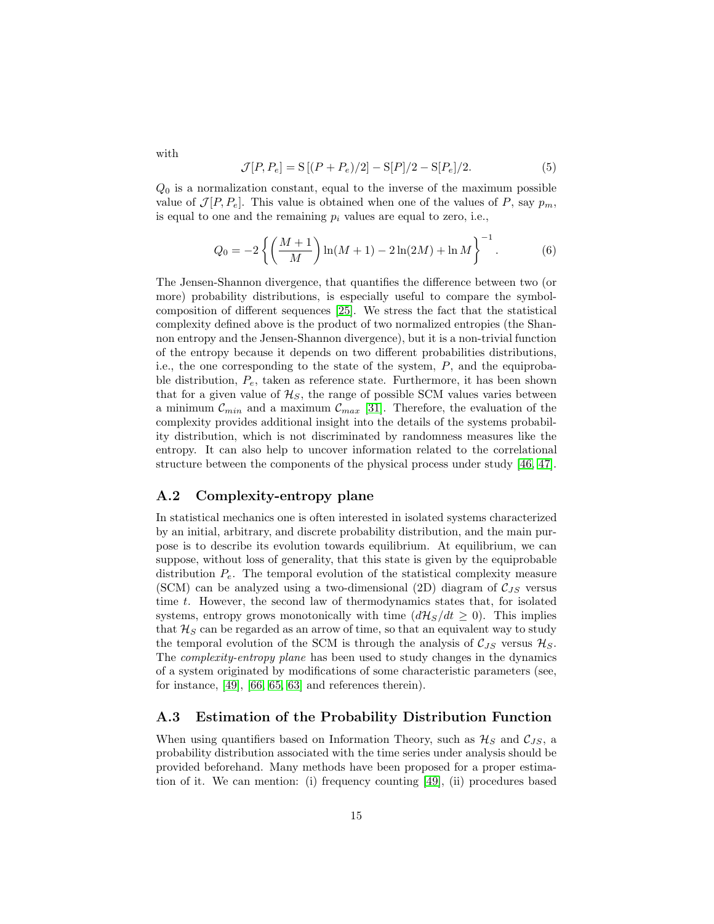$$
\mathcal{J}[P, P_e] = S[(P + P_e)/2] - S[P]/2 - S[P_e]/2.
$$
 (5)

 $Q_0$  is a normalization constant, equal to the inverse of the maximum possible value of  $\mathcal{J}[P, P_e]$ . This value is obtained when one of the values of P, say  $p_m$ , is equal to one and the remaining  $p_i$  values are equal to zero, i.e.,

$$
Q_0 = -2\left\{ \left(\frac{M+1}{M}\right) \ln(M+1) - 2\ln(2M) + \ln M \right\}^{-1}.
$$
 (6)

The Jensen-Shannon divergence, that quantifies the difference between two (or more) probability distributions, is especially useful to compare the symbolcomposition of different sequences [\[25\]](#page-19-11). We stress the fact that the statistical complexity defined above is the product of two normalized entropies (the Shannon entropy and the Jensen-Shannon divergence), but it is a non-trivial function of the entropy because it depends on two different probabilities distributions, i.e., the one corresponding to the state of the system,  $P$ , and the equiprobable distribution,  $P_e$ , taken as reference state. Furthermore, it has been shown that for a given value of  $\mathcal{H}_S$ , the range of possible SCM values varies between a minimum  $\mathcal{C}_{min}$  and a maximum  $\mathcal{C}_{max}$  [\[31\]](#page-20-8). Therefore, the evaluation of the complexity provides additional insight into the details of the systems probability distribution, which is not discriminated by randomness measures like the entropy. It can also help to uncover information related to the correlational structure between the components of the physical process under study [\[46,](#page-21-6) [47\]](#page-21-7).

### A.2 Complexity-entropy plane

In statistical mechanics one is often interested in isolated systems characterized by an initial, arbitrary, and discrete probability distribution, and the main purpose is to describe its evolution towards equilibrium. At equilibrium, we can suppose, without loss of generality, that this state is given by the equiprobable distribution  $P_e$ . The temporal evolution of the statistical complexity measure (SCM) can be analyzed using a two-dimensional (2D) diagram of  $C_{JS}$  versus time t. However, the second law of thermodynamics states that, for isolated systems, entropy grows monotonically with time  $\frac{d\mathcal{H}_S}{dt} \geq 0$ . This implies that  $\mathcal{H}_S$  can be regarded as an arrow of time, so that an equivalent way to study the temporal evolution of the SCM is through the analysis of  $\mathcal{C}_{JS}$  versus  $\mathcal{H}_S$ . The complexity-entropy plane has been used to study changes in the dynamics of a system originated by modifications of some characteristic parameters (see, for instance, [\[49\]](#page-21-8), [\[66,](#page-22-9) [65,](#page-22-6) [63\]](#page-22-7) and references therein).

### A.3 Estimation of the Probability Distribution Function

When using quantifiers based on Information Theory, such as  $\mathcal{H}_S$  and  $\mathcal{C}_{JS}$ , a probability distribution associated with the time series under analysis should be provided beforehand. Many methods have been proposed for a proper estimation of it. We can mention: (i) frequency counting [\[49\]](#page-21-8), (ii) procedures based

with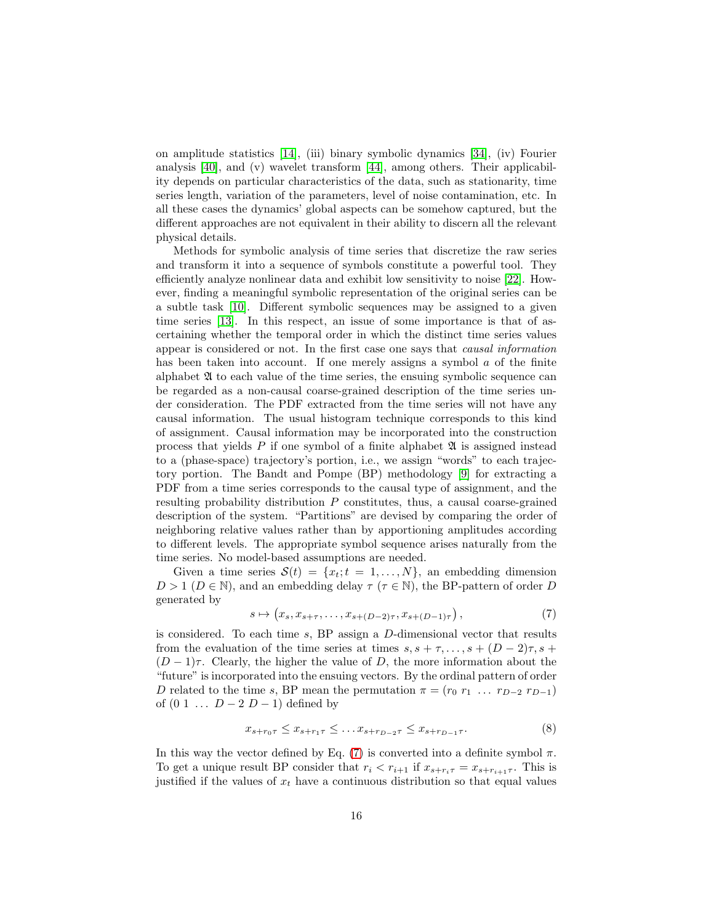on amplitude statistics [\[14\]](#page-18-10), (iii) binary symbolic dynamics [\[34\]](#page-20-10), (iv) Fourier analysis [\[40\]](#page-20-11), and (v) wavelet transform [\[44\]](#page-21-9), among others. Their applicability depends on particular characteristics of the data, such as stationarity, time series length, variation of the parameters, level of noise contamination, etc. In all these cases the dynamics' global aspects can be somehow captured, but the different approaches are not equivalent in their ability to discern all the relevant physical details.

Methods for symbolic analysis of time series that discretize the raw series and transform it into a sequence of symbols constitute a powerful tool. They efficiently analyze nonlinear data and exhibit low sensitivity to noise [\[22\]](#page-19-12). However, finding a meaningful symbolic representation of the original series can be a subtle task [\[10\]](#page-18-11). Different symbolic sequences may be assigned to a given time series [\[13\]](#page-18-12). In this respect, an issue of some importance is that of ascertaining whether the temporal order in which the distinct time series values appear is considered or not. In the first case one says that causal information has been taken into account. If one merely assigns a symbol  $a$  of the finite alphabet A to each value of the time series, the ensuing symbolic sequence can be regarded as a non-causal coarse-grained description of the time series under consideration. The PDF extracted from the time series will not have any causal information. The usual histogram technique corresponds to this kind of assignment. Causal information may be incorporated into the construction process that yields  $P$  if one symbol of a finite alphabet  $\mathfrak A$  is assigned instead to a (phase-space) trajectory's portion, i.e., we assign "words" to each trajectory portion. The Bandt and Pompe (BP) methodology [\[9\]](#page-18-13) for extracting a PDF from a time series corresponds to the causal type of assignment, and the resulting probability distribution P constitutes, thus, a causal coarse-grained description of the system. "Partitions" are devised by comparing the order of neighboring relative values rather than by apportioning amplitudes according to different levels. The appropriate symbol sequence arises naturally from the time series. No model-based assumptions are needed.

Given a time series  $S(t) = \{x_t; t = 1, ..., N\}$ , an embedding dimension  $D > 1$  ( $D \in \mathbb{N}$ ), and an embedding delay  $\tau$  ( $\tau \in \mathbb{N}$ ), the BP-pattern of order D generated by

<span id="page-15-0"></span>
$$
s \mapsto (x_s, x_{s+\tau}, \dots, x_{s+(D-2)\tau}, x_{s+(D-1)\tau}), \tag{7}
$$

is considered. To each time s, BP assign a D-dimensional vector that results from the evaluation of the time series at times  $s, s + \tau, \ldots, s + (D-2)\tau, s +$  $(D-1)\tau$ . Clearly, the higher the value of D, the more information about the "future" is incorporated into the ensuing vectors. By the ordinal pattern of order D related to the time s, BP mean the permutation  $\pi = (r_0 \, r_1 \, \ldots \, r_{D-2} \, r_{D-1})$ of  $(0 \ 1 \ \ldots \ D-2 \ D-1)$  defined by

$$
x_{s+r_0\tau} \le x_{s+r_1\tau} \le \dots x_{s+r_{D-2}\tau} \le x_{s+r_{D-1}\tau}.\tag{8}
$$

In this way the vector defined by Eq. [\(7\)](#page-15-0) is converted into a definite symbol  $\pi$ . To get a unique result BP consider that  $r_i < r_{i+1}$  if  $x_{s+r_i\tau} = x_{s+r_{i+1}\tau}$ . This is justified if the values of  $x_t$  have a continuous distribution so that equal values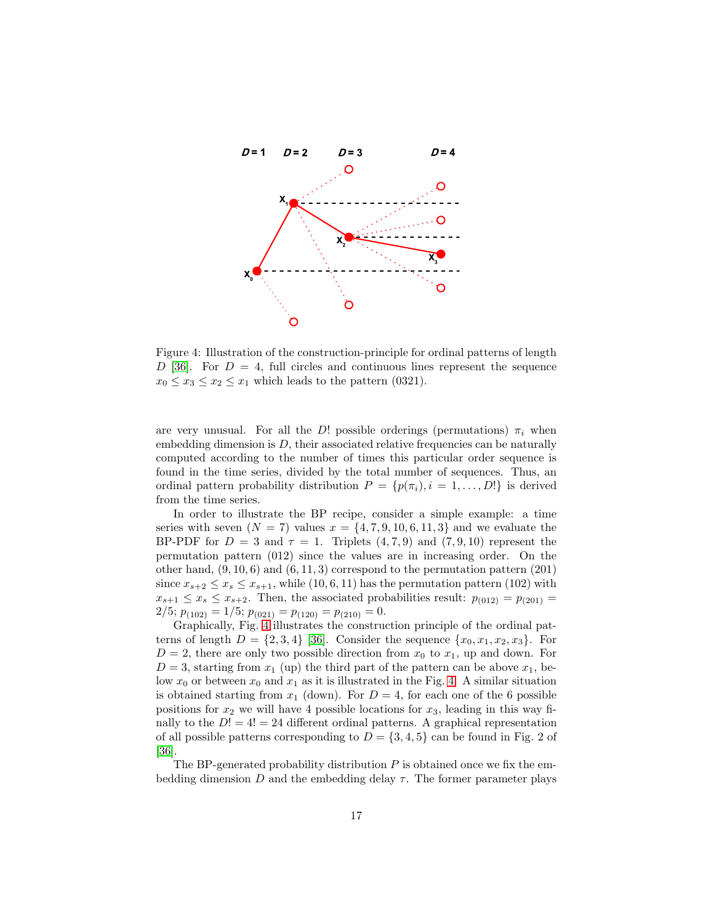

<span id="page-16-0"></span>Figure 4: Illustration of the construction-principle for ordinal patterns of length  $D$  [\[36\]](#page-20-12). For  $D = 4$ , full circles and continuous lines represent the sequence  $x_0 \le x_3 \le x_2 \le x_1$  which leads to the pattern (0321).

are very unusual. For all the D! possible orderings (permutations)  $\pi_i$  when embedding dimension is  $D$ , their associated relative frequencies can be naturally computed according to the number of times this particular order sequence is found in the time series, divided by the total number of sequences. Thus, an ordinal pattern probability distribution  $P = \{p(\pi_i), i = 1, ..., D!\}$  is derived from the time series.

In order to illustrate the BP recipe, consider a simple example: a time series with seven  $(N = 7)$  values  $x = \{4, 7, 9, 10, 6, 11, 3\}$  and we evaluate the BP-PDF for  $D = 3$  and  $\tau = 1$ . Triplets  $(4, 7, 9)$  and  $(7, 9, 10)$  represent the permutation pattern (012) since the values are in increasing order. On the other hand,  $(9, 10, 6)$  and  $(6, 11, 3)$  correspond to the permutation pattern  $(201)$ since  $x_{s+2} \le x_s \le x_{s+1}$ , while (10, 6, 11) has the permutation pattern (102) with  $x_{s+1} \leq x_s \leq x_{s+2}$ . Then, the associated probabilities result:  $p_{(012)} = p_{(201)} =$  $2/5; p_{(102)} = 1/5; p_{(021)} = p_{(120)} = p_{(210)} = 0.$ 

Graphically, Fig. [4](#page-16-0) illustrates the construction principle of the ordinal patterns of length  $D = \{2, 3, 4\}$  [\[36\]](#page-20-12). Consider the sequence  $\{x_0, x_1, x_2, x_3\}$ . For  $D = 2$ , there are only two possible direction from  $x_0$  to  $x_1$ , up and down. For  $D=3$ , starting from  $x_1$  (up) the third part of the pattern can be above  $x_1$ , below  $x_0$  or between  $x_0$  and  $x_1$  as it is illustrated in the Fig. [4.](#page-16-0) A similar situation is obtained starting from  $x_1$  (down). For  $D = 4$ , for each one of the 6 possible positions for  $x_2$  we will have 4 possible locations for  $x_3$ , leading in this way finally to the  $D! = 4! = 24$  different ordinal patterns. A graphical representation of all possible patterns corresponding to  $D = \{3, 4, 5\}$  can be found in Fig. 2 of [\[36\]](#page-20-12).

The BP-generated probability distribution  $P$  is obtained once we fix the embedding dimension D and the embedding delay  $\tau$ . The former parameter plays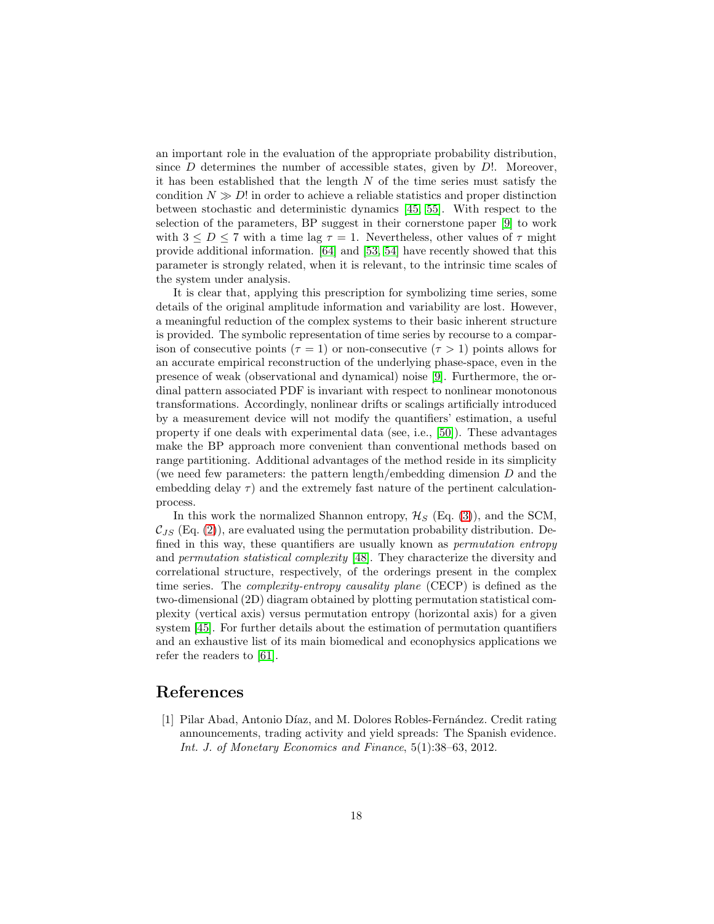an important role in the evaluation of the appropriate probability distribution, since  $D$  determines the number of accessible states, given by  $D!$ . Moreover, it has been established that the length  $N$  of the time series must satisfy the condition  $N \gg D!$  in order to achieve a reliable statistics and proper distinction between stochastic and deterministic dynamics [\[45,](#page-21-3) [55\]](#page-22-10). With respect to the selection of the parameters, BP suggest in their cornerstone paper [\[9\]](#page-18-13) to work with  $3 \leq D \leq 7$  with a time lag  $\tau = 1$ . Nevertheless, other values of  $\tau$  might provide additional information. [\[64\]](#page-22-5) and [\[53,](#page-21-10) [54\]](#page-21-11) have recently showed that this parameter is strongly related, when it is relevant, to the intrinsic time scales of the system under analysis.

It is clear that, applying this prescription for symbolizing time series, some details of the original amplitude information and variability are lost. However, a meaningful reduction of the complex systems to their basic inherent structure is provided. The symbolic representation of time series by recourse to a comparison of consecutive points ( $\tau = 1$ ) or non-consecutive ( $\tau > 1$ ) points allows for an accurate empirical reconstruction of the underlying phase-space, even in the presence of weak (observational and dynamical) noise [\[9\]](#page-18-13). Furthermore, the ordinal pattern associated PDF is invariant with respect to nonlinear monotonous transformations. Accordingly, nonlinear drifts or scalings artificially introduced by a measurement device will not modify the quantifiers' estimation, a useful property if one deals with experimental data (see, i.e., [\[50\]](#page-21-12)). These advantages make the BP approach more convenient than conventional methods based on range partitioning. Additional advantages of the method reside in its simplicity (we need few parameters: the pattern length/embedding dimension D and the embedding delay  $\tau$ ) and the extremely fast nature of the pertinent calculationprocess.

In this work the normalized Shannon entropy,  $\mathcal{H}_S$  (Eq. [\(3\)](#page-13-2)), and the SCM,  $\mathcal{C}_{JS}$  (Eq. [\(2\)](#page-13-3)), are evaluated using the permutation probability distribution. Defined in this way, these quantifiers are usually known as permutation entropy and permutation statistical complexity [\[48\]](#page-21-4). They characterize the diversity and correlational structure, respectively, of the orderings present in the complex time series. The complexity-entropy causality plane (CECP) is defined as the two-dimensional (2D) diagram obtained by plotting permutation statistical complexity (vertical axis) versus permutation entropy (horizontal axis) for a given system [\[45\]](#page-21-3). For further details about the estimation of permutation quantifiers and an exhaustive list of its main biomedical and econophysics applications we refer the readers to [\[61\]](#page-22-11).

# <span id="page-17-0"></span>References

[1] Pilar Abad, Antonio Díaz, and M. Dolores Robles-Fernández. Credit rating announcements, trading activity and yield spreads: The Spanish evidence. Int. J. of Monetary Economics and Finance, 5(1):38–63, 2012.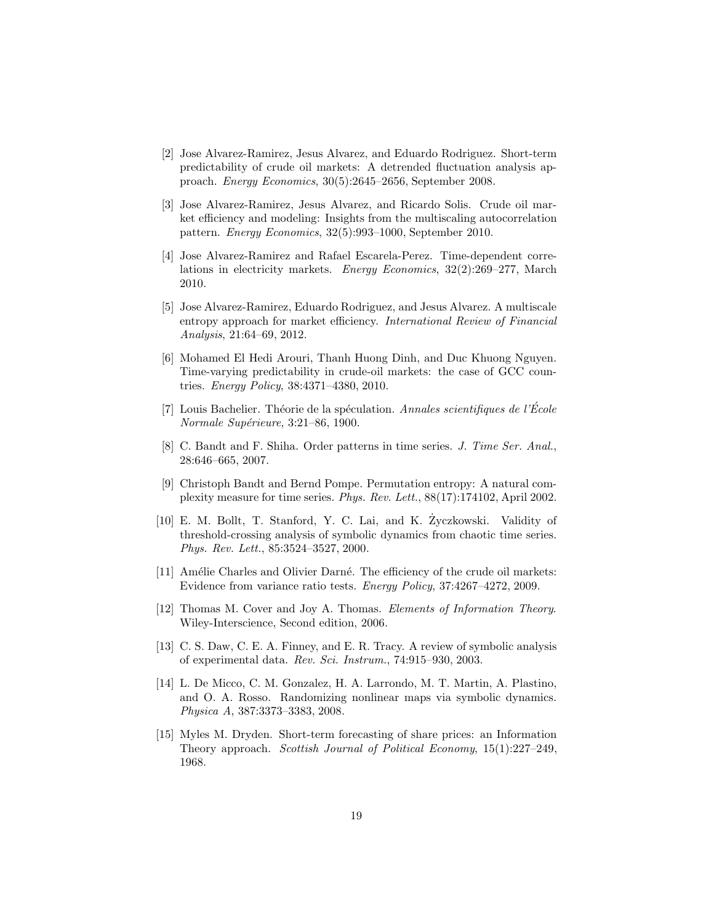- <span id="page-18-1"></span>[2] Jose Alvarez-Ramirez, Jesus Alvarez, and Eduardo Rodriguez. Short-term predictability of crude oil markets: A detrended fluctuation analysis approach. Energy Economics, 30(5):2645–2656, September 2008.
- <span id="page-18-3"></span>[3] Jose Alvarez-Ramirez, Jesus Alvarez, and Ricardo Solis. Crude oil market efficiency and modeling: Insights from the multiscaling autocorrelation pattern. Energy Economics, 32(5):993–1000, September 2010.
- <span id="page-18-4"></span>[4] Jose Alvarez-Ramirez and Rafael Escarela-Perez. Time-dependent correlations in electricity markets. Energy Economics, 32(2):269–277, March 2010.
- <span id="page-18-8"></span>[5] Jose Alvarez-Ramirez, Eduardo Rodriguez, and Jesus Alvarez. A multiscale entropy approach for market efficiency. International Review of Financial Analysis, 21:64–69, 2012.
- <span id="page-18-5"></span>[6] Mohamed El Hedi Arouri, Thanh Huong Dinh, and Duc Khuong Nguyen. Time-varying predictability in crude-oil markets: the case of GCC countries. Energy Policy, 38:4371–4380, 2010.
- <span id="page-18-0"></span>[7] Louis Bachelier. Théorie de la spéculation. Annales scientifiques de l'École Normale Supérieure, 3:21-86, 1900.
- <span id="page-18-9"></span>[8] C. Bandt and F. Shiha. Order patterns in time series. J. Time Ser. Anal., 28:646–665, 2007.
- <span id="page-18-13"></span>[9] Christoph Bandt and Bernd Pompe. Permutation entropy: A natural complexity measure for time series. Phys. Rev. Lett., 88(17):174102, April 2002.
- <span id="page-18-11"></span>[10] E. M. Bollt, T. Stanford, Y. C. Lai, and K. Zyczkowski. Validity of threshold-crossing analysis of symbolic dynamics from chaotic time series. Phys. Rev. Lett., 85:3524–3527, 2000.
- <span id="page-18-2"></span>[11] Amélie Charles and Olivier Darné. The efficiency of the crude oil markets: Evidence from variance ratio tests. Energy Policy, 37:4267–4272, 2009.
- <span id="page-18-6"></span>[12] Thomas M. Cover and Joy A. Thomas. Elements of Information Theory. Wiley-Interscience, Second edition, 2006.
- <span id="page-18-12"></span>[13] C. S. Daw, C. E. A. Finney, and E. R. Tracy. A review of symbolic analysis of experimental data. Rev. Sci. Instrum., 74:915–930, 2003.
- <span id="page-18-10"></span>[14] L. De Micco, C. M. Gonzalez, H. A. Larrondo, M. T. Martin, A. Plastino, and O. A. Rosso. Randomizing nonlinear maps via symbolic dynamics. Physica A, 387:3373–3383, 2008.
- <span id="page-18-7"></span>[15] Myles M. Dryden. Short-term forecasting of share prices: an Information Theory approach. Scottish Journal of Political Economy, 15(1):227–249, 1968.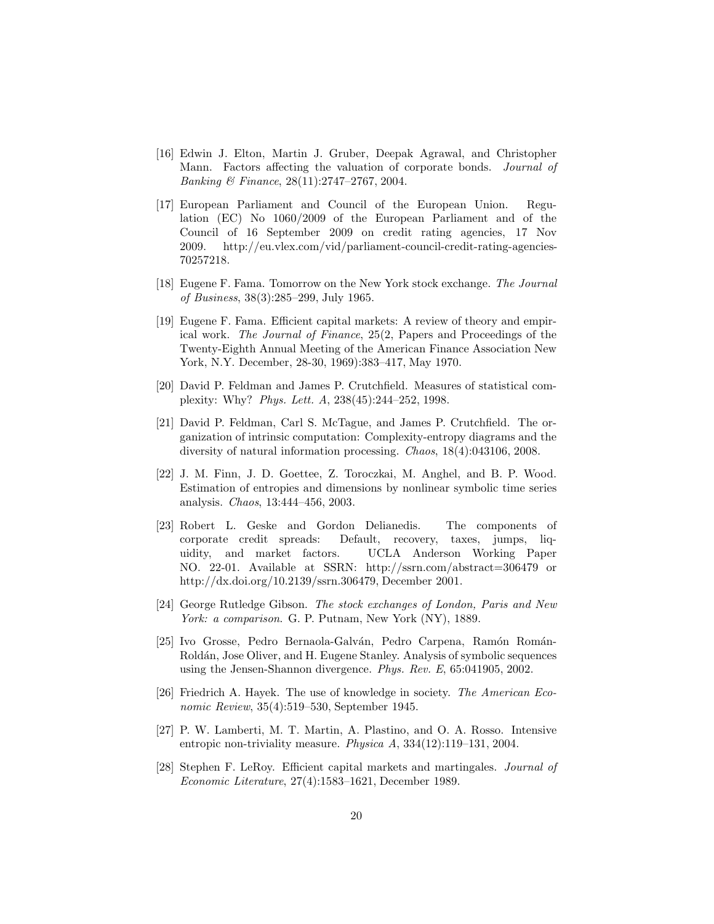- <span id="page-19-6"></span>[16] Edwin J. Elton, Martin J. Gruber, Deepak Agrawal, and Christopher Mann. Factors affecting the valuation of corporate bonds. Journal of Banking & Finance, 28(11):2747–2767, 2004.
- <span id="page-19-4"></span>[17] European Parliament and Council of the European Union. Regulation (EC) No 1060/2009 of the European Parliament and of the Council of 16 September 2009 on credit rating agencies, 17 Nov 2009. http://eu.vlex.com/vid/parliament-council-credit-rating-agencies-70257218.
- <span id="page-19-7"></span>[18] Eugene F. Fama. Tomorrow on the New York stock exchange. The Journal of Business, 38(3):285–299, July 1965.
- <span id="page-19-0"></span>[19] Eugene F. Fama. Efficient capital markets: A review of theory and empirical work. The Journal of Finance, 25(2, Papers and Proceedings of the Twenty-Eighth Annual Meeting of the American Finance Association New York, N.Y. December, 28-30, 1969):383–417, May 1970.
- <span id="page-19-8"></span>[20] David P. Feldman and James P. Crutchfield. Measures of statistical complexity: Why? Phys. Lett. A, 238(45):244–252, 1998.
- <span id="page-19-9"></span>[21] David P. Feldman, Carl S. McTague, and James P. Crutchfield. The organization of intrinsic computation: Complexity-entropy diagrams and the diversity of natural information processing. Chaos, 18(4):043106, 2008.
- <span id="page-19-12"></span>[22] J. M. Finn, J. D. Goettee, Z. Toroczkai, M. Anghel, and B. P. Wood. Estimation of entropies and dimensions by nonlinear symbolic time series analysis. Chaos, 13:444–456, 2003.
- <span id="page-19-5"></span>[23] Robert L. Geske and Gordon Delianedis. The components of corporate credit spreads: Default, recovery, taxes, jumps, liquidity, and market factors. UCLA Anderson Working Paper NO. 22-01. Available at SSRN: http://ssrn.com/abstract=306479 or http://dx.doi.org/10.2139/ssrn.306479, December 2001.
- <span id="page-19-2"></span>[24] George Rutledge Gibson. The stock exchanges of London, Paris and New York: a comparison. G. P. Putnam, New York (NY), 1889.
- <span id="page-19-11"></span>[25] Ivo Grosse, Pedro Bernaola-Galván, Pedro Carpena, Ramón Román-Rold´an, Jose Oliver, and H. Eugene Stanley. Analysis of symbolic sequences using the Jensen-Shannon divergence. Phys. Rev. E, 65:041905, 2002.
- <span id="page-19-1"></span>[26] Friedrich A. Hayek. The use of knowledge in society. The American Economic Review, 35(4):519–530, September 1945.
- <span id="page-19-10"></span>[27] P. W. Lamberti, M. T. Martin, A. Plastino, and O. A. Rosso. Intensive entropic non-triviality measure. Physica A, 334(12):119–131, 2004.
- <span id="page-19-3"></span>[28] Stephen F. LeRoy. Efficient capital markets and martingales. Journal of Economic Literature, 27(4):1583–1621, December 1989.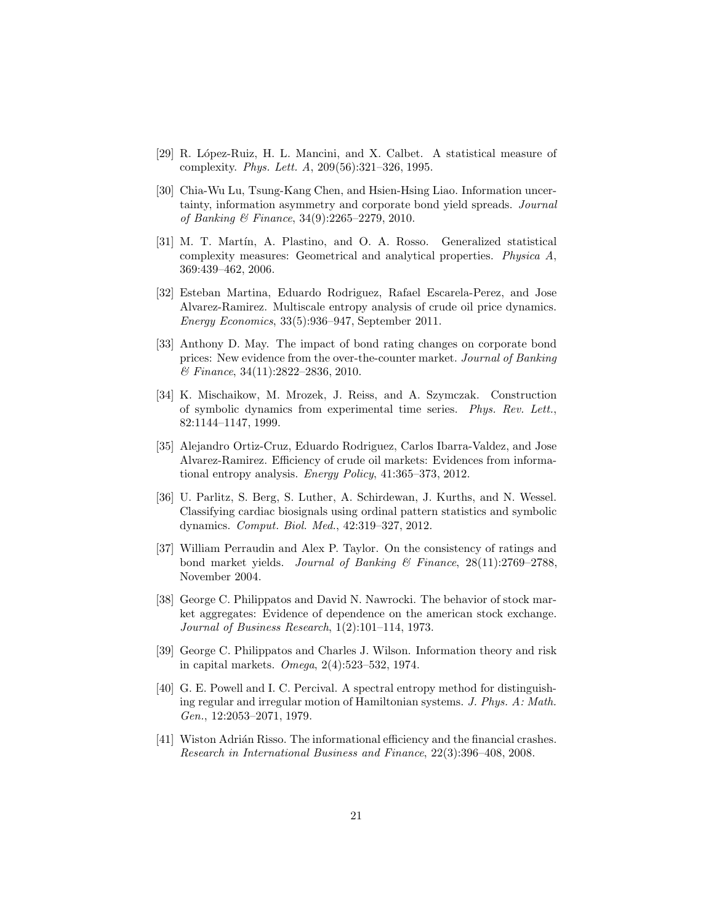- <span id="page-20-9"></span>[29] R. L´opez-Ruiz, H. L. Mancini, and X. Calbet. A statistical measure of complexity. Phys. Lett. A, 209(56):321–326, 1995.
- <span id="page-20-2"></span>[30] Chia-Wu Lu, Tsung-Kang Chen, and Hsien-Hsing Liao. Information uncertainty, information asymmetry and corporate bond yield spreads. Journal of Banking & Finance, 34(9):2265–2279, 2010.
- <span id="page-20-8"></span>[31] M. T. Martín, A. Plastino, and O. A. Rosso. Generalized statistical complexity measures: Geometrical and analytical properties. Physica A, 369:439–462, 2006.
- <span id="page-20-6"></span>[32] Esteban Martina, Eduardo Rodriguez, Rafael Escarela-Perez, and Jose Alvarez-Ramirez. Multiscale entropy analysis of crude oil price dynamics. Energy Economics, 33(5):936–947, September 2011.
- <span id="page-20-1"></span>[33] Anthony D. May. The impact of bond rating changes on corporate bond prices: New evidence from the over-the-counter market. Journal of Banking & Finance, 34(11):2822–2836, 2010.
- <span id="page-20-10"></span>[34] K. Mischaikow, M. Mrozek, J. Reiss, and A. Szymczak. Construction of symbolic dynamics from experimental time series. Phys. Rev. Lett., 82:1144–1147, 1999.
- <span id="page-20-7"></span>[35] Alejandro Ortiz-Cruz, Eduardo Rodriguez, Carlos Ibarra-Valdez, and Jose Alvarez-Ramirez. Efficiency of crude oil markets: Evidences from informational entropy analysis. Energy Policy, 41:365–373, 2012.
- <span id="page-20-12"></span>[36] U. Parlitz, S. Berg, S. Luther, A. Schirdewan, J. Kurths, and N. Wessel. Classifying cardiac biosignals using ordinal pattern statistics and symbolic dynamics. Comput. Biol. Med., 42:319–327, 2012.
- <span id="page-20-0"></span>[37] William Perraudin and Alex P. Taylor. On the consistency of ratings and bond market yields. Journal of Banking & Finance,  $28(11):2769-2788$ . November 2004.
- <span id="page-20-3"></span>[38] George C. Philippatos and David N. Nawrocki. The behavior of stock market aggregates: Evidence of dependence on the american stock exchange. Journal of Business Research, 1(2):101–114, 1973.
- <span id="page-20-4"></span>[39] George C. Philippatos and Charles J. Wilson. Information theory and risk in capital markets. Omega, 2(4):523–532, 1974.
- <span id="page-20-11"></span>[40] G. E. Powell and I. C. Percival. A spectral entropy method for distinguishing regular and irregular motion of Hamiltonian systems. J. Phys. A: Math. Gen., 12:2053–2071, 1979.
- <span id="page-20-5"></span>[41] Wiston Adrián Risso. The informational efficiency and the financial crashes. Research in International Business and Finance, 22(3):396–408, 2008.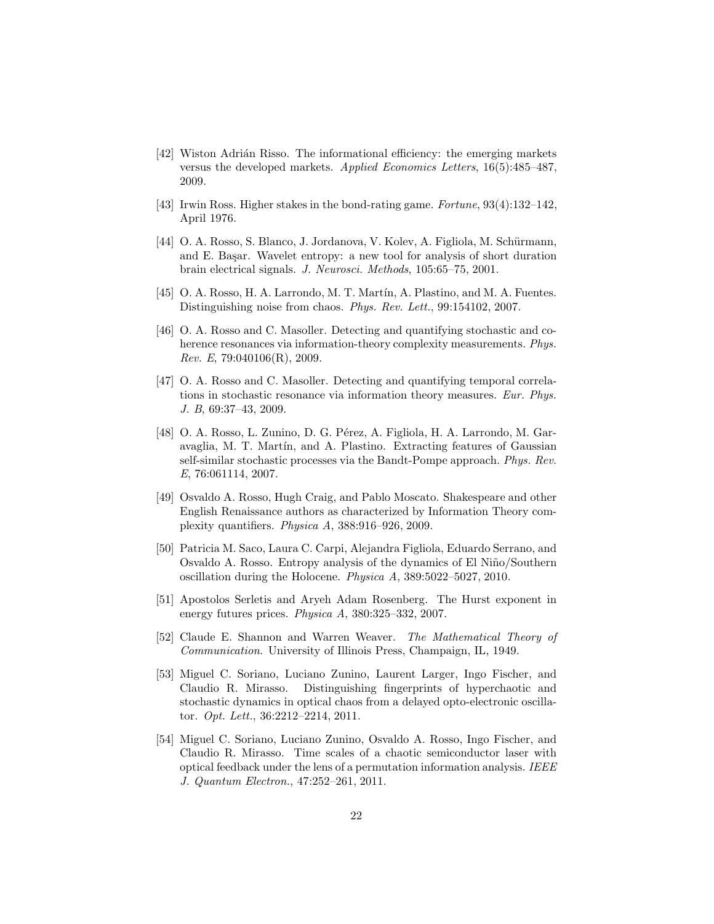- <span id="page-21-2"></span>[42] Wiston Adrián Risso. The informational efficiency: the emerging markets versus the developed markets. Applied Economics Letters, 16(5):485–487, 2009.
- <span id="page-21-9"></span><span id="page-21-1"></span>[43] Irwin Ross. Higher stakes in the bond-rating game. Fortune, 93(4):132–142, April 1976.
- [44] O. A. Rosso, S. Blanco, J. Jordanova, V. Kolev, A. Figliola, M. Schürmann, and E. Başar. Wavelet entropy: a new tool for analysis of short duration brain electrical signals. J. Neurosci. Methods, 105:65–75, 2001.
- <span id="page-21-6"></span><span id="page-21-3"></span>[45] O. A. Rosso, H. A. Larrondo, M. T. Mart´ın, A. Plastino, and M. A. Fuentes. Distinguishing noise from chaos. Phys. Rev. Lett., 99:154102, 2007.
- [46] O. A. Rosso and C. Masoller. Detecting and quantifying stochastic and coherence resonances via information-theory complexity measurements. Phys. Rev. E, 79:040106(R), 2009.
- <span id="page-21-7"></span>[47] O. A. Rosso and C. Masoller. Detecting and quantifying temporal correlations in stochastic resonance via information theory measures. Eur. Phys. J. B, 69:37–43, 2009.
- <span id="page-21-4"></span>[48] O. A. Rosso, L. Zunino, D. G. Pérez, A. Figliola, H. A. Larrondo, M. Garavaglia, M. T. Martín, and A. Plastino. Extracting features of Gaussian self-similar stochastic processes via the Bandt-Pompe approach. Phys. Rev. E, 76:061114, 2007.
- <span id="page-21-8"></span>[49] Osvaldo A. Rosso, Hugh Craig, and Pablo Moscato. Shakespeare and other English Renaissance authors as characterized by Information Theory complexity quantifiers. Physica A, 388:916–926, 2009.
- <span id="page-21-12"></span>[50] Patricia M. Saco, Laura C. Carpi, Alejandra Figliola, Eduardo Serrano, and Osvaldo A. Rosso. Entropy analysis of the dynamics of El Niño/Southern oscillation during the Holocene. Physica A, 389:5022–5027, 2010.
- <span id="page-21-0"></span>[51] Apostolos Serletis and Aryeh Adam Rosenberg. The Hurst exponent in energy futures prices. Physica A, 380:325–332, 2007.
- <span id="page-21-5"></span>[52] Claude E. Shannon and Warren Weaver. The Mathematical Theory of Communication. University of Illinois Press, Champaign, IL, 1949.
- <span id="page-21-10"></span>[53] Miguel C. Soriano, Luciano Zunino, Laurent Larger, Ingo Fischer, and Claudio R. Mirasso. Distinguishing fingerprints of hyperchaotic and stochastic dynamics in optical chaos from a delayed opto-electronic oscillator. Opt. Lett., 36:2212–2214, 2011.
- <span id="page-21-11"></span>[54] Miguel C. Soriano, Luciano Zunino, Osvaldo A. Rosso, Ingo Fischer, and Claudio R. Mirasso. Time scales of a chaotic semiconductor laser with optical feedback under the lens of a permutation information analysis. IEEE J. Quantum Electron., 47:252–261, 2011.